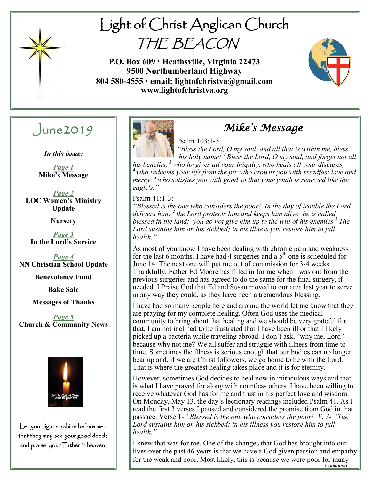

# Light of Christ Anglican Church THE BEACON

**P.O. Box 609 • Heathsville, Virginia 22473 9500 Northumberland Highway 804 580-4555 • email: lightofchristva@gmail.com www.lightofchristva.org**



# $J$ une2019

*In this issue:*

*Page 1* **Mike's Message**

*Page 2* **LOC Women's Ministry Update**

**Nursery**

*Page 3* **In the Lord's Service**

*Page 4* **NN Christian School Update**

**Benevolence Fund**

**Bake Sale**

#### **Messages of Thanks**

*Page 5* **Church & Community News**



Let your light so shine before men that they may see your good deeds and praise your Father in heaven.



# *Mike's Message*

#### Psalm 103:1-5:

*"Bless the Lord, O my soul, and all that is within me, bless his holy name! <sup>2</sup> Bless the Lord, O my soul, and forget not all his benefits, <sup>3</sup>who forgives all your iniquity, who heals all your diseases, <sup>4</sup>who redeems your life from the pit, who crowns you with steadfast love and mercy, <sup>5</sup> who satisfies you with good so that your youth is renewed like the eagle's."*

Psalm 41:1-3:

*"Blessed is the one who considers the poor! In the day of trouble the Lord delivers him; <sup>2</sup> the Lord protects him and keeps him alive; he is called blessed in the land; you do not give him up to the will of his enemies <sup>3</sup> The Lord sustains him on his sickbed; in his illness you restore him to full health."*

As most of you know I have been dealing with chronic pain and weakness for the last 6 months. I have had 4 surgeries and a  $5<sup>th</sup>$  one is scheduled for June 14. The next one will put me out of commission for 3-4 weeks. Thankfully, Father Ed Moore has filled in for me when I was out from the previous surgeries and has agreed to do the same for the final surgery, if needed. I Praise God that Ed and Susan moved to our area last year to serve in any way they could, as they have been a tremendous blessing.

I have had so many people here and around the world let me know that they are praying for my complete healing. Often God uses the medical community to bring about that healing and we should be very grateful for that. I am not inclined to be frustrated that I have been ill or that I likely picked up a bacteria while traveling abroad. I don't ask, "why me, Lord" because why not me? We all suffer and struggle with illness from time to time. Sometimes the illness is serious enough that our bodies can no longer bear up and, if we are Christ followers, we go home to be with the Lord. That is where the greatest healing takes place and it is for eternity.

However, sometimes God decides to heal now in miraculous ways and that is what I have prayed for along with countless others. I have been willing to receive whatever God has for me and trust in his perfect love and wisdom. On Monday, May 13, the day's lectionary readings included Psalm 41. As I read the first 3 verses I paused and considered the promise from God in that passage. Verse 1- *"Blessed is the one who considers the poor! V. 3- "The Lord sustains him on his sickbed; in his illness you restore him to full health."*

*Continued*  I knew that was for me. One of the changes that God has brought into our lives over the past 46 years is that we have a God given passion and empathy for the weak and poor. Most likely, this is because we were poor for many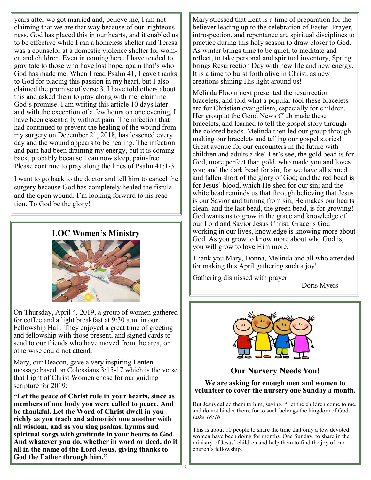years after we got married and, believe me, I am not claiming that we are that way because of our righteousness. God has placed this in our hearts, and it enabled us to be effective while I ran a homeless shelter and Teresa was a counselor at a domestic violence shelter for women and children. Even in coming here, I have tended to gravitate to those who have lost hope, again that's who God has made me. When I read Psalm 41, I gave thanks to God for placing this passion in my heart, but I also claimed the promise of verse 3. I have told others about this and asked them to pray along with me, claiming God's promise. I am writing this article 10 days later and with the exception of a few hours on one evening, I have been essentially without pain. The infection that had continued to prevent the healing of the wound from my surgery on December 21, 2018, has lessened every day and the wound appears to be healing. The infection and pain had been draining my energy, but it is coming back, probably because I can now sleep, pain-free. Please continue to pray along the lines of Psalm 41:1-3.

I want to go back to the doctor and tell him to cancel the surgery because God has completely healed the fistula and the open wound. I'm looking forward to his reaction. To God be the glory!

#### **LOC Women's Ministry**



On Thursday, April 4, 2019, a group of women gathered for coffee and a light breakfast at 9:30 a.m. in our Fellowship Hall. They enjoyed a great time of greeting and fellowship with those present, and signed cards to send to our friends who have moved from the area, or otherwise could not attend.

Mary, our Deacon, gave a very inspiring Lenten message based on Colossians 3:15-17 which is the verse that Light of Christ Women chose for our guiding scripture for 2019:

**"Let the peace of Christ rule in your hearts, since as members of one body you were called to peace. And be thankful. Let the Word of Christ dwell in you richly as you teach and admonish one another with all wisdom, and as you sing psalms, hymns and spiritual songs with gratitude in your hearts to God. And whatever you do, whether in word or deed, do it all in the name of the Lord Jesus, giving thanks to God the Father through him."**

Mary stressed that Lent is a time of preparation for the believer leading up to the celebration of Easter. Prayer, introspection, and repentance are spiritual disciplines to practice during this holy season to draw closer to God. As winter brings time to be quiet, to meditate and reflect, to take personal and spiritual inventory, Spring brings Resurrection Day with new life and new energy. It is a time to burst forth alive in Christ, as new creations shining His light around us!

Melinda Floom next presented the resurrection bracelets, and told what a popular tool these bracelets are for Christian evangelism, especially for children. Her group at the Good News Club made these bracelets, and learned to tell the gospel story through the colored beads. Melinda then led our group through making our bracelets and telling our gospel stories! Great avenue for our encounters in the future with children and adults alike! Let's see, the gold bead is for God, more perfect than gold, who made you and loves you; and the dark bead for sin, for we have all sinned and fallen short of the glory of God; and the red bead is for Jesus' blood, which He shed for our sin; and the white bead reminds us that through believing that Jesus is our Savior and turning from sin, He makes our hearts clean; and the last bead, the green bead, is for growing! God wants us to grow in the grace and knowledge of our Lord and Savior Jesus Christ. Grace is God working in our lives, knowledge is knowing more about God. As you grow to know more about who God is, you will grow to love Him more.

Thank you Mary, Donna, Melinda and all who attended for making this April gathering such a joy!

Gathering dismissed with prayer.

Doris Myers



# **Our Nursery Needs You!**

#### **We are asking for enough men and women to volunteer to cover the nursery one Sunday a month.**

But Jesus called them to him, saying, "Let the children come to me, and do not hinder them, for to such belongs the kingdom of God. *Luke 18:16*

This is about 10 people to share the time that only a few devoted women have been doing for months. One Sunday, to share in the ministry of Jesus' children and help them to find the joy of our church's fellowship.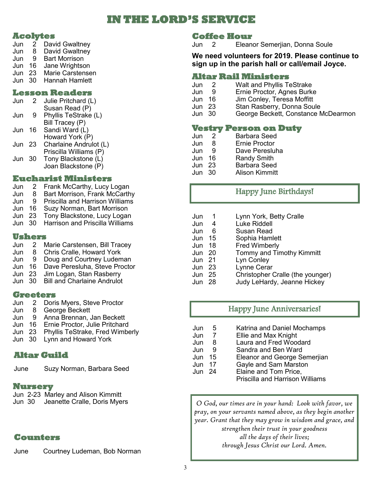# **IN THE LORD'S SERVICE**

#### **Acolytes**

| Jun | 2  | David Gwaltney       |  |
|-----|----|----------------------|--|
| Jun | 8  | David Gwaltney       |  |
| Jun | g  | <b>Bart Morrison</b> |  |
| Jun | 16 | Jane Wrightson       |  |
|     |    |                      |  |

- Jun 23 Marie Carstensen
- Jun 30 Hannah Hamlett

#### **Lesson Readers**

| Jun | 2 Julie Pritchard (L) |
|-----|-----------------------|
|     | Susan Read (P)        |
|     |                       |

- Jun 9 Phyllis TeStrake (L) Bill Tracey (P)
- Jun 16 Sandi Ward (L) Howard York (P)
- Jun 23 Charlaine Andrulot (L)
- Priscilla Williams (P)
- Jun 30 Tony Blackstone (L)
	- Joan Blackstone (P)

#### **Eucharist Ministers**

- Jun 2 Frank McCarthy, Lucy Logan
- Jun 8 Bart Morrison, Frank McCarthy
- Jun 9 Priscilla and Harrison Williams
- Jun 16 Suzy Norman, Bart Morrison
- Jun 23 Tony Blackstone, Lucy Logan
- Jun 30 Harrison and Priscilla Williams

#### **Ushers**

- Jun 2 Marie Carstensen, Bill Tracey
- Jun 8 Chris Cralle, Howard York
- Jun 9 Doug and Courtney Ludeman
- Jun 16 Dave Peresluha, Steve Proctor
- Jun 23 Jim Logan, Stan Rasberry
- Jun 30 Bill and Charlaine Andrulot

#### **Greeters**

- Jun 2 Doris Myers, Steve Proctor
- Jun 8 George Beckett
- Jun 9 Anna Brennan, Jan Beckett
- Jun 16 Ernie Proctor, Julie Pritchard
- Jun 23 Phyllis TeStrake, Fred Wimberly
- Jun 30 Lynn and Howard York

# **Altar Guild**

June Suzy Norman, Barbara Seed

### **Nursery**

Jun 2-23 Marley and Alison Kimmitt

Jun 30 Jeanette Cralle, Doris Myers

# **Counters**

June Courtney Ludeman, Bob Norman

# **Coffee Hour**

Jun 2 Eleanor Semerjian, Donna Soule

**We need volunteers for 2019. Please continue to sign up in the parish hall or call/email Joyce.**

### **Altar Rail Ministers**

- Jun 2 Walt and Phyllis TeStrake
- Jun 9 Ernie Proctor, Agnes Burke
- Jun 16 Jim Conley, Teresa Moffitt
	- Stan Rasberry, Donna Soule
- Jun 30 George Beckett, Constance McDearmon

#### **Vestry Person on Duty**

- Jun 2 Barbara Seed
- Jun 8 Ernie Proctor
- Jun 9 Dave Peresluha
- Jun 16 Randy Smith
- Jun 23 Barbara Seed
- Jun 30 Alison Kimmitt

# Happy June Birthdays!

- Jun 1 Lynn York, Betty Cralle
- Jun 4 Luke Riddell
- Jun 6 Susan Read
- Jun 15 Sophia Hamlett
- Jun 18 Fred Wimberly
- Jun 20 Tommy and Timothy Kimmitt
- Lyn Conley
- Jun 23 Lynne Cerar
- Jun 25 Christopher Cralle (the younger)
- Jun 28 Judy LeHardy, Jeanne Hickey

# Happy June Anniversaries!

- Jun 5 Katrina and Daniel Mochamps
- Jun 7 Ellie and Max Knight
- Jun 8 Laura and Fred Woodard
- Jun 9 Sandra and Ben Ward
- Jun 15 Eleanor and George Semerjian
- Jun 17 Gayle and Sam Marston
- Jun 24 Elaine and Tom Price, Priscilla and Harrison Williams

*O God, our times are in your hand: Look with favor, we pray, on your servants named above, as they begin another year. Grant that they may grow in wisdom and grace, and strengthen their trust in your goodness all the days of their lives; through Jesus Christ our Lord. Amen.*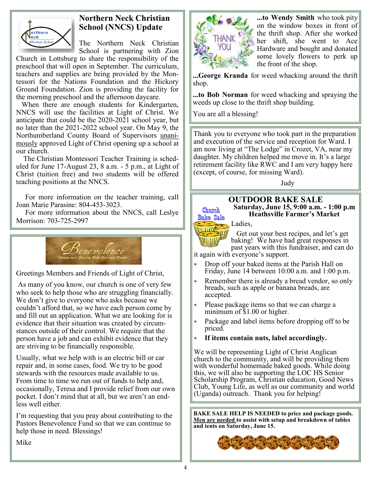

# **Northern Neck Christian School (NNCS) Update**

The Northern Neck Christian School is partnering with Zion

Church in Lottsburg to share the responsibility of the preschool that will open in September. The curriculum, teachers and supplies are being provided by the Montessori for the Nations Foundation and the Hickory Ground Foundation. Zion is providing the facility for the morning preschool and the afternoon daycare.

 When there are enough students for Kindergarten, NNCS will use the facilities at Light of Christ. We anticipate that could be the 2020-2021 school year, but no later than the 2021-2022 school year. On May 9, the Northumberland County Board of Supervisors unanimously approved Light of Christ opening up a school at our church.

 The Christian Montessori Teacher Training is scheduled for June 17-August 23, 8 a.m. - 5 p.m., at Light of Christ (tuition free) and two students will be offered teaching positions at the NNCS.

 For more information on the teacher training, call Joan Marie Parasine: 804-453-3023.

 For more information about the NNCS, call Leslye Morrison: 703-725-2997



Greetings Members and Friends of Light of Christ,

As many of you know, our church is one of very few who seek to help those who are struggling financially. We don't give to everyone who asks because we couldn't afford that, so we have each person come by and fill out an application. What we are looking for is evidence that their situation was created by circumstances outside of their control. We require that the person have a job and can exhibit evidence that they are striving to be financially responsible.

Usually, what we help with is an electric bill or car repair and, in some cases, food. We try to be good stewards with the resources made available to us. From time to time we run out of funds to help and, occasionally, Teresa and I provide relief from our own pocket. I don't mind that at all, but we aren't an endless well either.

I'm requesting that you pray about contributing to the Pastors Benevolence Fund so that we can continue to help those in need. Blessings!

**...to Wendy Smith** who took pity on the window boxes in front of the thrift shop. After she worked her shift, she went to Ace Hardware and bought and donated some lovely flowers to perk up the front of the shop.

**...George Kranda** for weed whacking around the thrift shop.

**...to Bob Norman** for weed whacking and spraying the weeds up close to the thrift shop building.

You are all a blessing!

Thank you to everyone who took part in the preparation and execution of the service and reception for Ward. I am now living at "The Lodge" in Crozet, VA, near my daughter. My children helped me move in. It's a large retirement facility like RWC and I am very happy here (except, of course, for missing Ward).

Judy

# Church **Bake Sale**

0000*111* 

**OUTDOOR BAKE SALE Saturday, June 15, 9:00 a.m. - 1:00 p.m Heathsville Farmer's Market**

Ladies,

 Get out your best recipes, and let's get baking! We have had great responses in past years with this fundraiser, and can do

it again with everyone's support.

- Drop off your baked items at the Parish Hall on Friday, June 14 between 10:00 a.m. and 1:00 p.m.
- Remember there is already a bread vendor, so only breads, such as apple or banana breads, are accepted.
- Please package items so that we can charge a minimum of \$1.00 or higher.
- Package and label items before dropping off to be priced.
- **If items contain nuts, label accordingly.**

We will be representing Light of Christ Anglican church to the community, and will be providing them with wonderful homemade baked goods. While doing this, we will also be supporting the LOC HS Senior Scholarship Program, Christian education, Good News Club, Young Life, as well as our community and world (Uganda) outreach. Thank you for helping!

**BAKE SALE HELP IS NEEDED to price and package goods. Men are needed to assist with setup and breakdown of tables and tents on Saturday, June 15.**



Mike